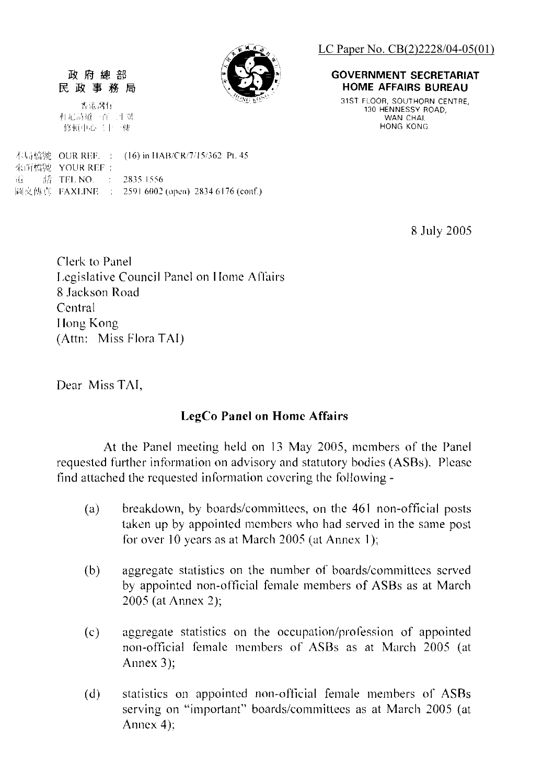

民政事務局 香港灣仔

相尼詩道一百二十號 修顿中心三十一梗

政府總部

本局檔號 OUR REF. : (16) in HAB/CR/7/15/362 Pt. 45 來所檔號 YOUR REF : 語 TEL NO. : . 2835 1556 Иì 圖文傳真 FAXLINE : 2591 6002 (open) 2834 6176 (conf.) LC Paper No. CB(2)2228/04-05(01)

#### **GOVERNMENT SECRETARIAT HOME AFFAIRS BUREAU**

31ST FLOOR. SOUTHORN CENTRE 130 HENNESSY ROAD. WAN CHAI. HONG KONG.

8 July 2005

Clerk to Panel Legislative Council Panel on Home Affairs 8 Jackson Road Central Hong Kong (Attn: Miss Flora TAI)

Dear Miss TAI.

#### **LegCo Panel on Home Affairs**

At the Panel meeting held on 13 May 2005, members of the Panel requested further information on advisory and statutory bodies (ASBs). Please find attached the requested information covering the following -

- breakdown, by boards/committees, on the 461 non-official posts (a) taken up by appointed members who had served in the same post for over 10 years as at March 2005 (at Annex 1);
- aggregate statistics on the number of boards/committees served  $(b)$ by appointed non-official female members of ASBs as at March 2005 (at Annex 2);
- aggregate statistics on the occupation/profession of appointed  $(c)$ non-official female members of ASBs as at March 2005 (at Annex  $3$ :
- statistics on appointed non-official female members of ASBs  $(d)$ serving on "important" boards/committees as at March 2005 (at Annex  $4$ :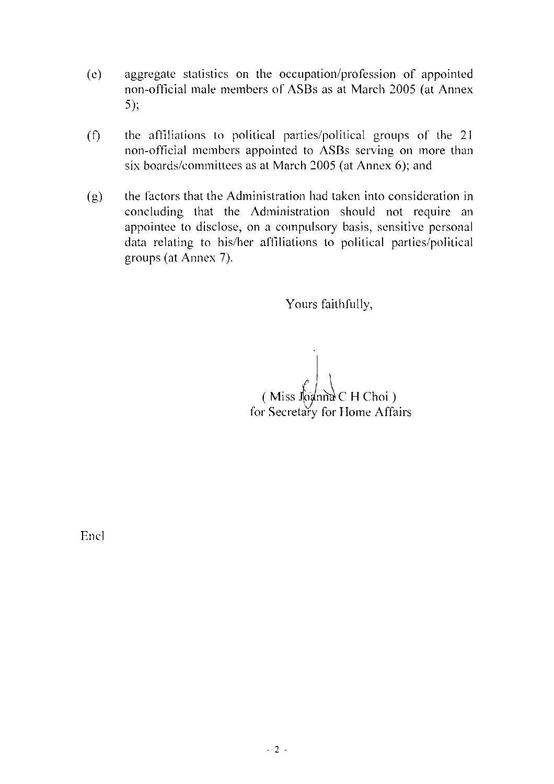- $(e)$ aggregate statistics on the occupation/profession of appointed non-official male members of ASBs as at March 2005 (at Annex  $5)$ ;
- the affiliations to political parties/political groups of the 21  $(f)$ non-official members appointed to ASBs serving on more than six boards/committees as at March 2005 (at Annex 6); and
- the factors that the Administration had taken into consideration in  $(g)$ concluding that the Administration should not require an appointee to disclose, on a compulsory basis, sensitive personal data relating to his/her affiliations to political parties/political groups (at Annex 7).

Yours faithfully.

(Miss Joanna C H Choi) for Secretary for Home Affairs

Encl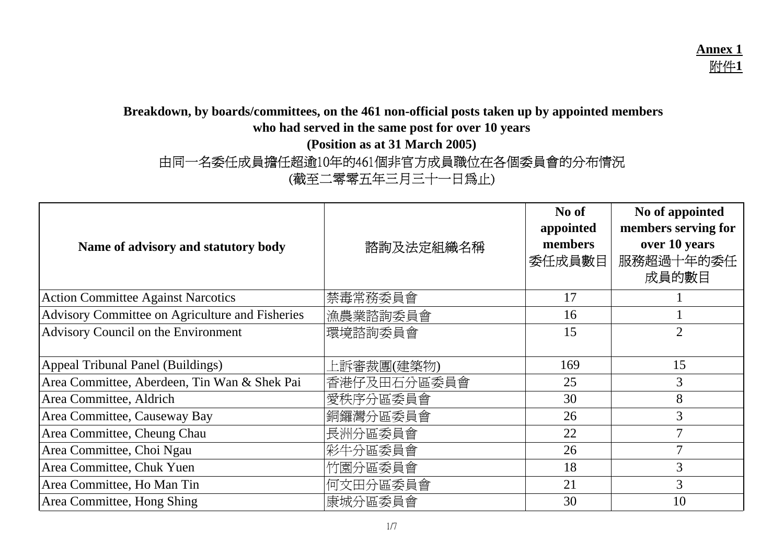# **Breakdown, by boards/committees, on the 461 non-official posts taken up by appointed members**

**who had served in the same post for over 10 years**

**(Position as at 31 March 2005)**

由同一名委任成員擔任超逾10年的461個非官方成員職位在各個委員會的分布情況

(截至二零零五年三月三十一日為止)

| Name of advisory and statutory body             | 諮詢及法定組織名稱   | No of<br>appointed<br>members<br>委任成員數目 | No of appointed<br>members serving for<br>over 10 years<br>服務超過十年的委任<br>成員的數目 |
|-------------------------------------------------|-------------|-----------------------------------------|-------------------------------------------------------------------------------|
| <b>Action Committee Against Narcotics</b>       | 禁毒常務委員會     | 17                                      |                                                                               |
| Advisory Committee on Agriculture and Fisheries | 漁農業諮詢委員會    | 16                                      |                                                                               |
| Advisory Council on the Environment             | 環境諮詢委員會     | 15                                      | $\overline{2}$                                                                |
| Appeal Tribunal Panel (Buildings)               | 上訴審裁團(建築物)  | 169                                     | 15                                                                            |
| Area Committee, Aberdeen, Tin Wan & Shek Pai    | 香港仔及田石分區委員會 | 25                                      | $\mathfrak{Z}$                                                                |
| Area Committee, Aldrich                         | 愛秩序分區委員會    | 30                                      | 8                                                                             |
| Area Committee, Causeway Bay                    | 銅鑼灣分區委員會    | 26                                      | $\mathfrak{Z}$                                                                |
| Area Committee, Cheung Chau                     | 長洲分區委員會     | 22                                      | $\overline{7}$                                                                |
| Area Committee, Choi Ngau                       | 彩牛分區委員會     | 26                                      | $\overline{7}$                                                                |
| Area Committee, Chuk Yuen                       | 竹園分區委員會     | 18                                      | $\overline{3}$                                                                |
| Area Committee, Ho Man Tin                      | 何文田分區委員會    | 21                                      | $\mathfrak{Z}$                                                                |
| Area Committee, Hong Shing                      | 康城分區委員會     | 30                                      | 10                                                                            |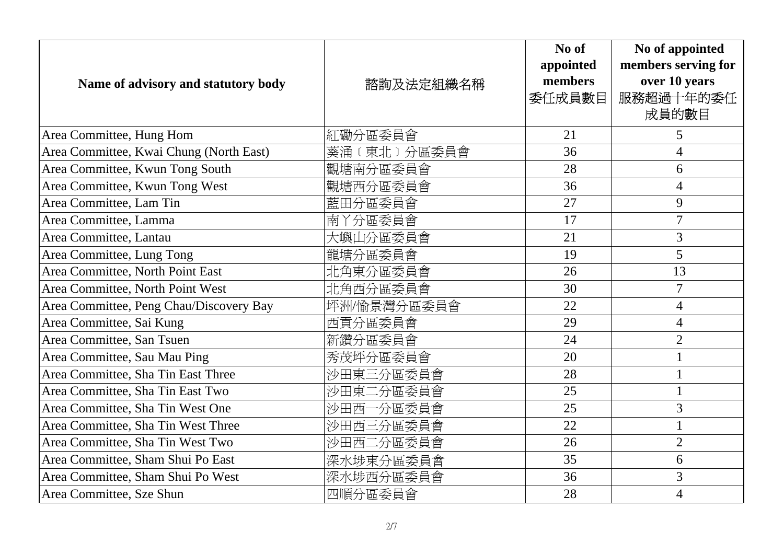| Name of advisory and statutory body     | 諮詢及法定組織名稱   | No of<br>appointed<br>members<br>委任成員數目 | No of appointed<br>members serving for<br>over 10 years<br>服務超過十年的委任<br>成員的數目 |
|-----------------------------------------|-------------|-----------------------------------------|-------------------------------------------------------------------------------|
| Area Committee, Hung Hom                | 紅磡分區委員會     | 21                                      | 5                                                                             |
| Area Committee, Kwai Chung (North East) | 葵涌〔東北〕分區委員會 | 36                                      | $\overline{4}$                                                                |
| Area Committee, Kwun Tong South         | 觀塘南分區委員會    | 28                                      | 6                                                                             |
| Area Committee, Kwun Tong West          | 觀塘西分區委員會    | 36                                      | $\overline{4}$                                                                |
| Area Committee, Lam Tin                 | 藍田分區委員會     | 27                                      | 9                                                                             |
| Area Committee, Lamma                   | 南丫分區委員會     | 17                                      | $\overline{7}$                                                                |
| Area Committee, Lantau                  | 大嶼山分區委員會    | 21                                      | $\overline{3}$                                                                |
| Area Committee, Lung Tong               | 龍塘分區委員會     | 19                                      | 5                                                                             |
| Area Committee, North Point East        | 北角東分區委員會    | 26                                      | 13                                                                            |
| Area Committee, North Point West        | 北角西分區委員會    | 30                                      | $\overline{7}$                                                                |
| Area Committee, Peng Chau/Discovery Bay | 坪洲/愉景灣分區委員會 | 22                                      | $\overline{4}$                                                                |
| Area Committee, Sai Kung                | 西貢分區委員會     | 29                                      | $\overline{4}$                                                                |
| Area Committee, San Tsuen               | 新鑽分區委員會     | 24                                      | $\overline{2}$                                                                |
| Area Committee, Sau Mau Ping            | 秀茂坪分區委員會    | 20                                      |                                                                               |
| Area Committee, Sha Tin East Three      | 沙田東三分區委員會   | 28                                      | $\mathbf{1}$                                                                  |
| Area Committee, Sha Tin East Two        | 沙田東二分區委員會   | 25                                      |                                                                               |
| Area Committee, Sha Tin West One        | 沙田西一分區委員會   | 25                                      | 3                                                                             |
| Area Committee, Sha Tin West Three      | 沙田西三分區委員會   | 22                                      |                                                                               |
| Area Committee, Sha Tin West Two        | 沙田西二分區委員會   | 26                                      | $\overline{2}$                                                                |
| Area Committee, Sham Shui Po East       | 深水埗東分區委員會   | 35                                      | 6                                                                             |
| Area Committee, Sham Shui Po West       | 深水埗西分區委員會   | 36                                      | 3                                                                             |
| Area Committee, Sze Shun                | 四順分區委員會     | 28                                      | $\overline{4}$                                                                |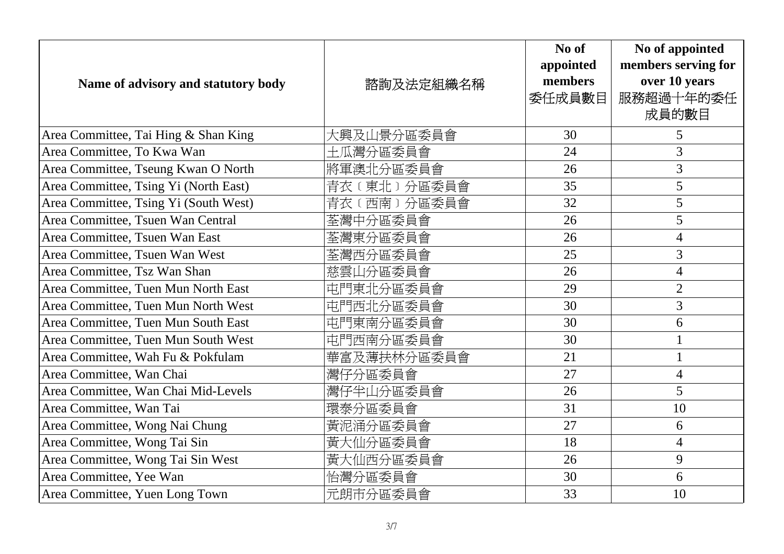| Name of advisory and statutory body   | 諮詢及法定組織名稱    | No of<br>appointed<br>members<br>委任成員數目 | No of appointed<br>members serving for<br>over 10 years<br>服務超過十年的委任<br>成員的數目 |
|---------------------------------------|--------------|-----------------------------------------|-------------------------------------------------------------------------------|
| Area Committee, Tai Hing & Shan King  | 大興及山景分區委員會   | 30                                      | 5                                                                             |
| Area Committee, To Kwa Wan            | 土瓜灣分區委員會     | 24                                      | 3                                                                             |
| Area Committee, Tseung Kwan O North   | 將軍澳北分區委員會    | 26                                      | 3                                                                             |
| Area Committee, Tsing Yi (North East) | 青衣 (東北)分區委員會 | 35                                      | 5                                                                             |
| Area Committee, Tsing Yi (South West) | 青衣 (西南)分區委員會 | 32                                      | 5                                                                             |
| Area Committee, Tsuen Wan Central     | 荃灣中分區委員會     | 26                                      | 5                                                                             |
| Area Committee, Tsuen Wan East        | 荃灣東分區委員會     | 26                                      | $\overline{4}$                                                                |
| Area Committee, Tsuen Wan West        | 荃灣西分區委員會     | 25                                      | 3                                                                             |
| Area Committee, Tsz Wan Shan          | 慈雲山分區委員會     | 26                                      | $\overline{4}$                                                                |
| Area Committee, Tuen Mun North East   | 屯門東北分區委員會    | 29                                      | $\overline{2}$                                                                |
| Area Committee, Tuen Mun North West   | 屯門西北分區委員會    | 30                                      | 3                                                                             |
| Area Committee, Tuen Mun South East   | 屯門東南分區委員會    | 30                                      | 6                                                                             |
| Area Committee, Tuen Mun South West   | 屯門西南分區委員會    | 30                                      | $\mathbf{1}$                                                                  |
| Area Committee, Wah Fu & Pokfulam     | 華富及薄扶林分區委員會  | 21                                      | $\mathbf{1}$                                                                  |
| Area Committee, Wan Chai              | 灣仔分區委員會      | 27                                      | $\overline{4}$                                                                |
| Area Committee, Wan Chai Mid-Levels   | 灣仔半山分區委員會    | 26                                      | 5                                                                             |
| Area Committee, Wan Tai               | 環泰分區委員會      | 31                                      | 10                                                                            |
| Area Committee, Wong Nai Chung        | 黃泥涌分區委員會     | 27                                      | 6                                                                             |
| Area Committee, Wong Tai Sin          | 黃大仙分區委員會     | 18                                      | $\overline{4}$                                                                |
| Area Committee, Wong Tai Sin West     | 黃大仙西分區委員會    | 26                                      | 9                                                                             |
| Area Committee, Yee Wan               | 怡灣分區委員會      | 30                                      | 6                                                                             |
| Area Committee, Yuen Long Town        | 元朗市分區委員會     | 33                                      | 10                                                                            |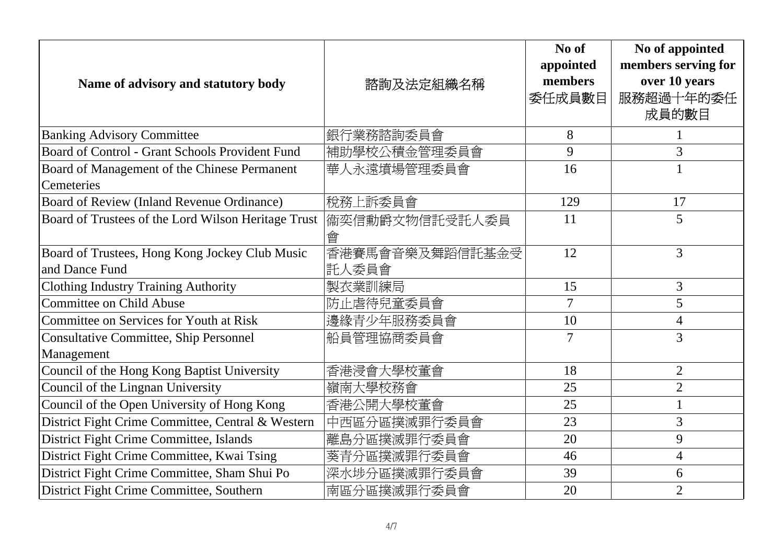| Name of advisory and statutory body                              | 諮詢及法定組織名稱                 | No of<br>appointed<br>members<br>委任成員數目 | No of appointed<br>members serving for<br>over 10 years<br>服務超過十年的委任<br>成員的數目 |
|------------------------------------------------------------------|---------------------------|-----------------------------------------|-------------------------------------------------------------------------------|
| <b>Banking Advisory Committee</b>                                | 銀行業務諮詢委員會                 | 8                                       |                                                                               |
| Board of Control - Grant Schools Provident Fund                  | 補助學校公積金管理委員會              | 9                                       | 3                                                                             |
| Board of Management of the Chinese Permanent<br>Cemeteries       | 華人永遠墳場管理委員會               | 16                                      |                                                                               |
| Board of Review (Inland Revenue Ordinance)                       | 稅務上訴委員會                   | 129                                     | 17                                                                            |
| Board of Trustees of the Lord Wilson Heritage Trust              | 衞奕信勳爵文物信託受託人委員<br>會       | 11                                      | 5                                                                             |
| Board of Trustees, Hong Kong Jockey Club Music<br>and Dance Fund | 香港賽馬會音樂及舞蹈信託基金受<br> 託人委員會 | 12                                      | 3                                                                             |
| <b>Clothing Industry Training Authority</b>                      | 製衣業訓練局                    | 15                                      | $\overline{3}$                                                                |
| Committee on Child Abuse                                         | 防止虐待兒童委員會                 | $\overline{7}$                          | 5                                                                             |
| <b>Committee on Services for Youth at Risk</b>                   | 邊緣青少年服務委員會                | 10                                      | $\overline{\mathcal{A}}$                                                      |
| <b>Consultative Committee, Ship Personnel</b><br>Management      | 船員管理協商委員會                 | $\overline{7}$                          | 3                                                                             |
| Council of the Hong Kong Baptist University                      | 香港浸會大學校董會                 | 18                                      | $\overline{2}$                                                                |
| Council of the Lingnan University                                | 嶺南大學校務會                   | 25                                      | $\overline{2}$                                                                |
| Council of the Open University of Hong Kong                      | 香港公開大學校董會                 | 25                                      |                                                                               |
| District Fight Crime Committee, Central & Western                | 中西區分區撲滅罪行委員會              | 23                                      | 3                                                                             |
| District Fight Crime Committee, Islands                          | 離島分區撲滅罪行委員會               | 20                                      | 9                                                                             |
| District Fight Crime Committee, Kwai Tsing                       | 葵青分區撲滅罪行委員會               | 46                                      | $\overline{\mathcal{A}}$                                                      |
| District Fight Crime Committee, Sham Shui Po                     | 深水埗分區撲滅罪行委員會              | 39                                      | 6                                                                             |
| District Fight Crime Committee, Southern                         | 南區分區撲滅罪行委員會               | 20                                      | $\overline{2}$                                                                |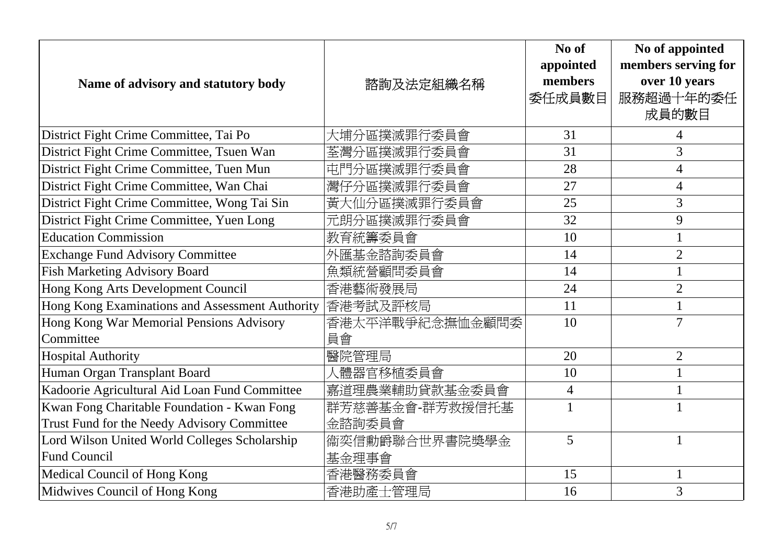| Name of advisory and statutory body             | 諮詢及法定組織名稱       | No of<br>appointed<br>members<br>委任成員數目 | No of appointed<br>members serving for<br>over 10 years<br>服務超過十年的委任<br>成員的數目 |
|-------------------------------------------------|-----------------|-----------------------------------------|-------------------------------------------------------------------------------|
| District Fight Crime Committee, Tai Po          | 大埔分區撲滅罪行委員會     | 31                                      | 4                                                                             |
| District Fight Crime Committee, Tsuen Wan       | 荃灣分區撲滅罪行委員會     | 31                                      | 3                                                                             |
| District Fight Crime Committee, Tuen Mun        | 屯門分區撲滅罪行委員會     | 28                                      | 4                                                                             |
| District Fight Crime Committee, Wan Chai        | 灣仔分區撲滅罪行委員會     | 27                                      | $\overline{4}$                                                                |
| District Fight Crime Committee, Wong Tai Sin    | 黃大仙分區撲滅罪行委員會    | 25                                      | 3                                                                             |
| District Fight Crime Committee, Yuen Long       | 元朗分區撲滅罪行委員會     | 32                                      | 9                                                                             |
| <b>Education Commission</b>                     | 教育統籌委員會         | 10                                      |                                                                               |
| <b>Exchange Fund Advisory Committee</b>         | 外匯基金諮詢委員會       | 14                                      | $\overline{2}$                                                                |
| <b>Fish Marketing Advisory Board</b>            | 魚類統營顧問委員會       | 14                                      |                                                                               |
| Hong Kong Arts Development Council              | 香港藝術發展局         | 24                                      | $\overline{2}$                                                                |
| Hong Kong Examinations and Assessment Authority | 香港考試及評核局        | 11                                      |                                                                               |
| Hong Kong War Memorial Pensions Advisory        | 香港太平洋戰爭紀念撫恤金顧問委 | 10                                      | $\overline{7}$                                                                |
| Committee                                       | 員會              |                                         |                                                                               |
| <b>Hospital Authority</b>                       | 醫院管理局           | 20                                      | $\overline{2}$                                                                |
| Human Organ Transplant Board                    | 人體器官移植委員會       | 10                                      |                                                                               |
| Kadoorie Agricultural Aid Loan Fund Committee   | 嘉道理農業輔助貸款基金委員會  | $\overline{4}$                          |                                                                               |
| Kwan Fong Charitable Foundation - Kwan Fong     | 群芳慈善基金會-群芳救援信托基 | $\mathbf{1}$                            | $\mathbf{1}$                                                                  |
| Trust Fund for the Needy Advisory Committee     | 金諮詢委員會          |                                         |                                                                               |
| Lord Wilson United World Colleges Scholarship   | 衞奕信勳爵聯合世界書院獎學金  | 5                                       |                                                                               |
| <b>Fund Council</b>                             | 基金理事會           |                                         |                                                                               |
| Medical Council of Hong Kong                    | 香港醫務委員會         | 15                                      | $\mathbf{1}$                                                                  |
| Midwives Council of Hong Kong                   | 香港助產士管理局        | 16                                      | 3                                                                             |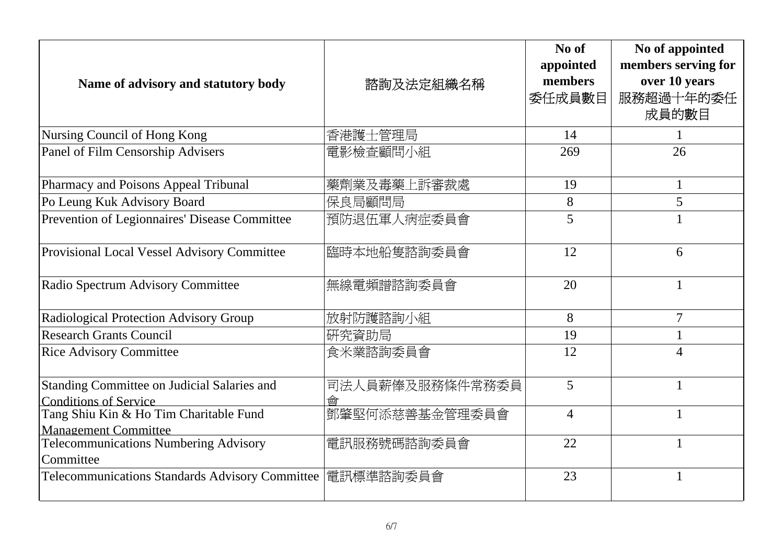| Name of advisory and statutory body                                         | 諮詢及法定組織名稱            | No of<br>appointed<br>members<br>委任成員數目 | No of appointed<br>members serving for<br>over 10 years<br>服務超過十年的委任<br>成員的數目 |
|-----------------------------------------------------------------------------|----------------------|-----------------------------------------|-------------------------------------------------------------------------------|
| Nursing Council of Hong Kong                                                | 香港護士管理局              | 14                                      |                                                                               |
| Panel of Film Censorship Advisers                                           | 電影檢查顧問小組             | 269                                     | 26                                                                            |
| Pharmacy and Poisons Appeal Tribunal                                        | 藥劑業及毒藥上訴審裁處          | 19                                      | $\mathbf{1}$                                                                  |
| Po Leung Kuk Advisory Board                                                 | 保良局顧問局               | 8                                       | 5                                                                             |
| Prevention of Legionnaires' Disease Committee                               | 預防退伍軍人病症委員會          | 5                                       |                                                                               |
| Provisional Local Vessel Advisory Committee                                 | 臨時本地船隻諮詢委員會          | 12                                      | 6                                                                             |
| Radio Spectrum Advisory Committee                                           | 無線電頻譜諮詢委員會           | 20                                      | $\mathbf{1}$                                                                  |
| Radiological Protection Advisory Group                                      | 放射防護諮詢小組             | 8                                       | 7                                                                             |
| <b>Research Grants Council</b>                                              | 研究資助局                | 19                                      | 1                                                                             |
| <b>Rice Advisory Committee</b>                                              | 食米業諮詢委員會             | 12                                      | $\varLambda$                                                                  |
| Standing Committee on Judicial Salaries and<br><b>Conditions of Service</b> | 司法人員薪俸及服務條件常務委員<br>酋 | 5                                       | $\mathbf{1}$                                                                  |
| Tang Shiu Kin & Ho Tim Charitable Fund<br><b>Management Committee</b>       | 鄧肇堅何添慈善基金管理委員會       | $\overline{4}$                          | 1                                                                             |
| Telecommunications Numbering Advisory<br>Committee                          | 電訊服務號碼諮詢委員會          | 22                                      | $\mathbf{1}$                                                                  |
| <b>Telecommunications Standards Advisory Committee</b>                      | 電訊標準諮詢委員會            | 23                                      | 1                                                                             |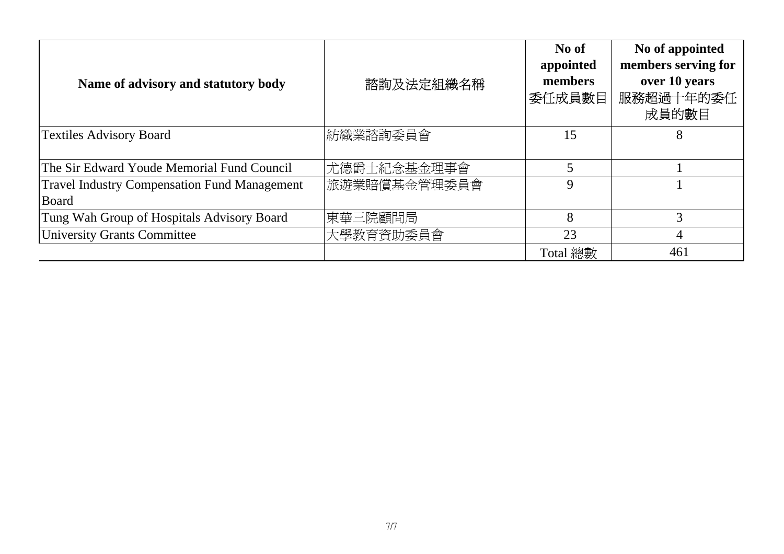| Name of advisory and statutory body                          | 諮詢及法定組織名稱    | No of<br>appointed<br>members<br>委任成員數目 | No of appointed<br>members serving for<br>over 10 years<br>服務超過十年的委任<br>成員的數目 |
|--------------------------------------------------------------|--------------|-----------------------------------------|-------------------------------------------------------------------------------|
| <b>Textiles Advisory Board</b>                               | 紡織業諮詢委員會     | 15                                      | 8                                                                             |
| The Sir Edward Youde Memorial Fund Council                   | 尤德爵士紀念基金理事會  |                                         |                                                                               |
| <b>Travel Industry Compensation Fund Management</b><br>Board | 旅遊業賠償基金管理委員會 | 9                                       |                                                                               |
| Tung Wah Group of Hospitals Advisory Board                   | 東華三院顧問局      | 8                                       | 3                                                                             |
| University Grants Committee                                  | 大學教育資助委員會    | 23                                      | 4                                                                             |
|                                                              |              | Total 總數                                | 461                                                                           |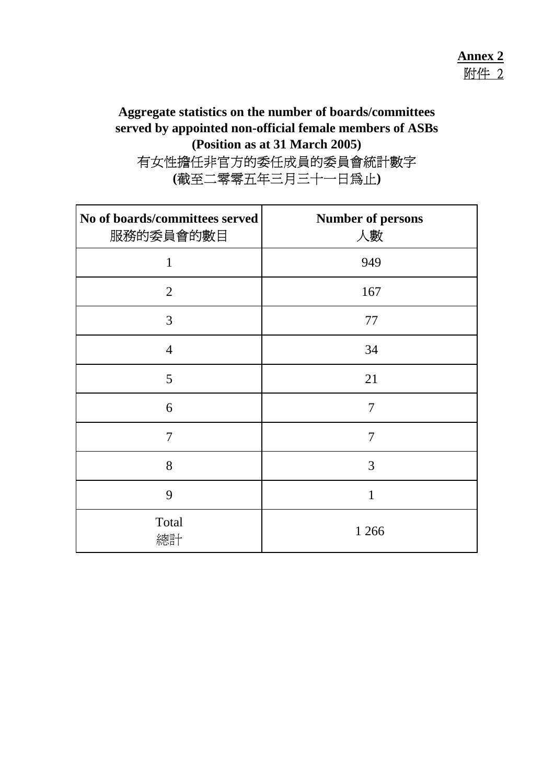#### **Aggregate statistics on the number of boards/committees served by appointed non-official female members of ASBs (Position as at 31 March 2005)** 有女性擔任非官方的委任成員的委員會統計數字 **(**截至二零零五年三月三十一日為止**)**

| No of boards/committees served<br>服務的委員會的數目 | <b>Number of persons</b><br>人數 |
|---------------------------------------------|--------------------------------|
| 1                                           | 949                            |
| $\overline{2}$                              | 167                            |
| 3                                           | 77                             |
| $\overline{4}$                              | 34                             |
| 5                                           | 21                             |
| 6                                           | $\overline{7}$                 |
| 7                                           | 7                              |
| 8                                           | 3                              |
| 9                                           | 1                              |
| Total<br>總計                                 | 1 2 6 6                        |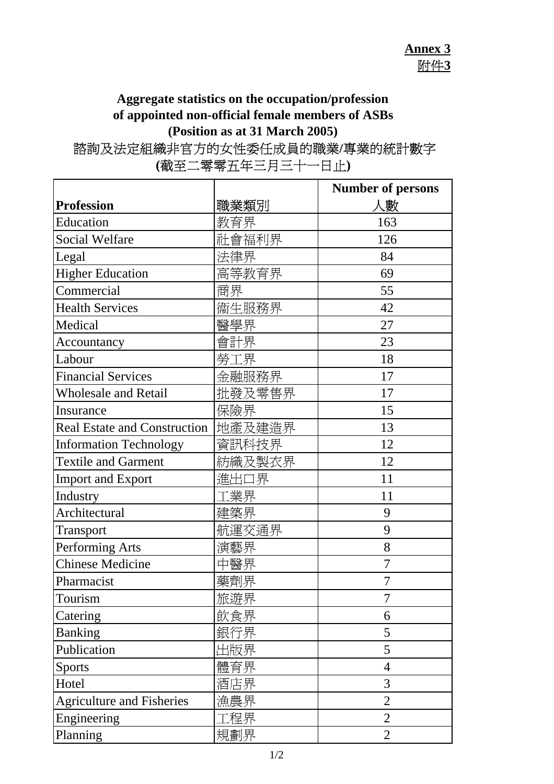## **Aggregate statistics on the occupation/profession of appointed non-official female members of ASBs (Position as at 31 March 2005)**

# 諮詢及法定組織非官方的女性委任成員的職業**/**專業的統計數字

|                                       |        | <b>Number of persons</b> |
|---------------------------------------|--------|--------------------------|
| <b>Profession</b>                     | 職業類別   | 人數                       |
| Education                             | 教育界    | 163                      |
| <b>Social Welfare</b>                 | 社會福利界  | 126                      |
| Legal                                 | 法律界    | 84                       |
| <b>Higher Education</b>               | 高等教育界  | 69                       |
| Commercial                            | 商界     | 55                       |
| <b>Health Services</b>                | 衞生服務界  | 42                       |
| Medical                               | 醫學界    | 27                       |
| Accountancy                           | 會計界    | 23                       |
| Labour                                | 勞工界    | 18                       |
| <b>Financial Services</b>             | 金融服務界  | 17                       |
| <b>Wholesale and Retail</b>           | 批發及零售界 | 17                       |
| Insurance                             | 保險界    | 15                       |
| Real Estate and Construction   地產及建造界 |        | 13                       |
| <b>Information Technology</b>         | 資訊科技界  | 12                       |
| <b>Textile and Garment</b>            | 紡織及製衣界 | 12                       |
| <b>Import and Export</b>              | 進出口界   | 11                       |
| Industry                              | ニ業界    | 11                       |
| Architectural                         | 建築界    | 9                        |
| Transport                             | 航運交通界  | 9                        |
| Performing Arts                       | 演藝界    | 8                        |
| <b>Chinese Medicine</b>               | 中醫界    | 7                        |
| Pharmacist                            | 藥劑界    | 7                        |
| Tourism                               | 旅遊界    | 7                        |
| Catering                              | 飲食界    | 6                        |
| <b>Banking</b>                        | 銀行界    | 5                        |
| Publication                           | 出版界    | 5                        |
| <b>Sports</b>                         | 體育界    | $\overline{4}$           |
| Hotel                                 | 酒店界    | 3                        |
| <b>Agriculture and Fisheries</b>      | 漁農界    | $\overline{2}$           |
| Engineering                           | ニ程界    | $\overline{2}$           |
| Planning                              | 規劃界    | $\overline{2}$           |

**(**截至二零零五年三月三十一日止**)**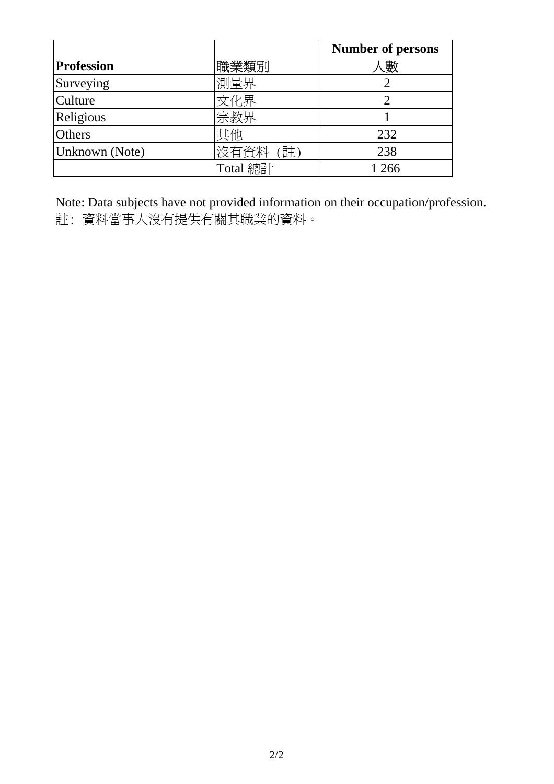|                   |           | <b>Number of persons</b> |
|-------------------|-----------|--------------------------|
| <b>Profession</b> | 職業類別      | 人數                       |
| Surveying         | 測量界       |                          |
| <b>Culture</b>    | 文化界       |                          |
| Religious         | 宗教界       |                          |
| <b>Others</b>     | 其他        | 232                      |
| Unknown (Note)    | 沒有資料<br>註 | 238                      |
|                   | Total 總計  | 1 2 6 6                  |

Note: Data subjects have not provided information on their occupation/profession. 註: 資料當事人沒有提供有關其職業的資料。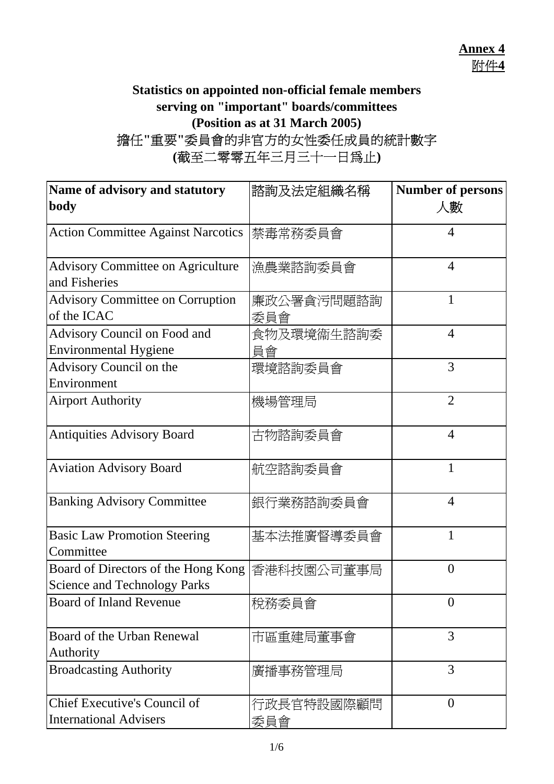#### **Statistics on appointed non-official female members serving on "important" boards/committees (Position as at 31 March 2005)** 擔任**"**重要**"**委員會的非官方的女性委任成員的統計數字 **(**截至二零零五年三月三十一日為止**)**

| Name of advisory and statutory                                             | 諮詢及法定組織名稱         | <b>Number of persons</b> |
|----------------------------------------------------------------------------|-------------------|--------------------------|
| body                                                                       |                   | 人數                       |
| <b>Action Committee Against Narcotics</b>                                  | 禁毒常務委員會           | 4                        |
| <b>Advisory Committee on Agriculture</b><br>and Fisheries                  | 漁農業諮詢委員會          | $\overline{4}$           |
| <b>Advisory Committee on Corruption</b><br>of the ICAC                     | 廉政公署貪污問題諮詢<br>委員會 | 1                        |
| Advisory Council on Food and<br><b>Environmental Hygiene</b>               | 食物及環境衞生諮詢委<br>員會  | $\overline{4}$           |
| Advisory Council on the<br>Environment                                     | 環境諮詢委員會           | 3                        |
| <b>Airport Authority</b>                                                   | 機場管理局             | $\overline{2}$           |
| <b>Antiquities Advisory Board</b>                                          | 古物諮詢委員會           | $\overline{4}$           |
| <b>Aviation Advisory Board</b>                                             | 航空諮詢委員會           | 1                        |
| <b>Banking Advisory Committee</b>                                          | 銀行業務諮詢委員會         | 4                        |
| <b>Basic Law Promotion Steering</b><br>Committee                           | 基本法推廣督導委員會        | 1                        |
| Board of Directors of the Hong Kong<br><b>Science and Technology Parks</b> | 香港科技園公司董事局        | $\overline{0}$           |
| <b>Board of Inland Revenue</b>                                             | 稅務委員會             | $\theta$                 |
| Board of the Urban Renewal<br>Authority                                    | 市區重建局董事會          | 3                        |
| <b>Broadcasting Authority</b>                                              | 廣播事務管理局           | 3                        |
| Chief Executive's Council of<br><b>International Advisers</b>              | 行政長官特設國際顧問<br>委員會 | $\overline{0}$           |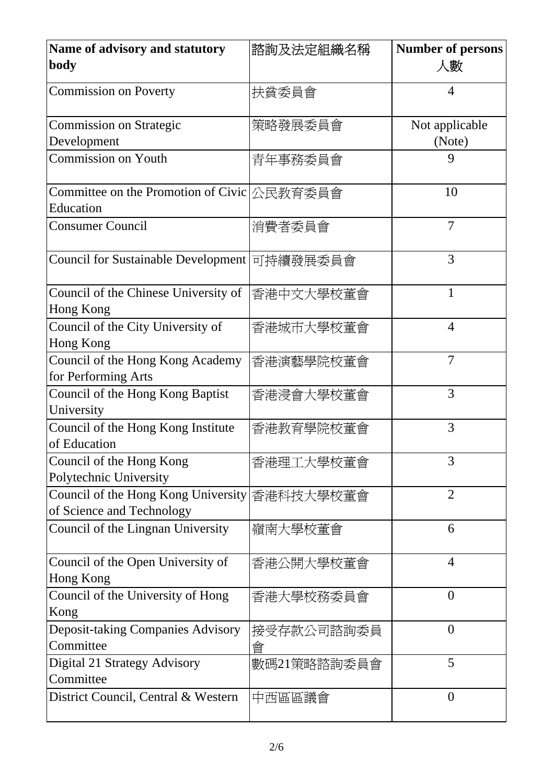| Name of advisory and statutory<br>body                           | 諮詢及法定組織名稱       | <b>Number of persons</b><br>人數 |
|------------------------------------------------------------------|-----------------|--------------------------------|
| <b>Commission on Poverty</b>                                     | 扶貧委員會           | 4                              |
| <b>Commission on Strategic</b><br>Development                    | 策略發展委員會         | Not applicable<br>(Note)       |
| <b>Commission on Youth</b>                                       | 青年事務委員會         | 9                              |
| Committee on the Promotion of Civic 公民教育委員會<br>Education         |                 | 10                             |
| <b>Consumer Council</b>                                          | 消費者委員會          | $\overline{7}$                 |
| <b>Council for Sustainable Development</b>                       | 可持續發展委員會        | 3                              |
| Council of the Chinese University of<br>Hong Kong                | 香港中文大學校董會       | $\mathbf{1}$                   |
| Council of the City University of<br><b>Hong Kong</b>            | 香港城市大學校董會       | $\overline{4}$                 |
| Council of the Hong Kong Academy<br>for Performing Arts          | 香港演藝學院校董會       | $\overline{7}$                 |
| Council of the Hong Kong Baptist<br>University                   | 香港浸會大學校董會       | 3                              |
| Council of the Hong Kong Institute<br>of Education               | 香港教育學院校董會       | 3                              |
| Council of the Hong Kong<br>Polytechnic University               | 香港理工大學校董會       | 3                              |
| Council of the Hong Kong University<br>of Science and Technology | 香港科技大學校董會       | $\overline{2}$                 |
| Council of the Lingnan University                                | 嶺南大學校董會         | 6                              |
| Council of the Open University of<br>Hong Kong                   | 香港公開大學校董會       | $\overline{4}$                 |
| Council of the University of Hong<br>Kong                        | 香港大學校務委員會       | $\overline{0}$                 |
| <b>Deposit-taking Companies Advisory</b><br>Committee            | 接受存款公司諮詢委員<br>曾 | $\overline{0}$                 |
| Digital 21 Strategy Advisory<br>Committee                        | 數碼21策略諮詢委員會     | 5                              |
| District Council, Central & Western                              | 中西區區議會          | $\overline{0}$                 |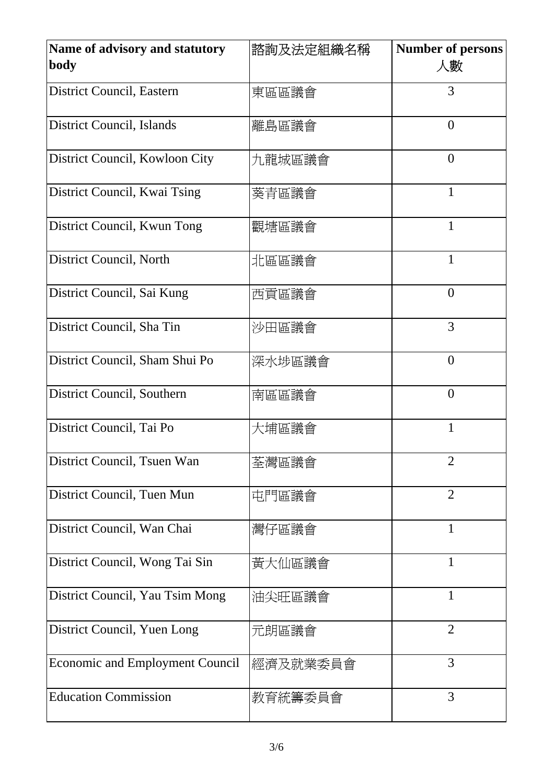| Name of advisory and statutory<br>body | 諮詢及法定組織名稱 | <b>Number of persons</b><br>人數 |
|----------------------------------------|-----------|--------------------------------|
| District Council, Eastern              | 東區區議會     | 3                              |
| <b>District Council, Islands</b>       | 離島區議會     | $\overline{0}$                 |
| District Council, Kowloon City         | 九龍城區議會    | $\overline{0}$                 |
| District Council, Kwai Tsing           | 葵青區議會     | 1                              |
| District Council, Kwun Tong            | 觀塘區議會     | 1                              |
| District Council, North                | 北區區議會     | 1                              |
| District Council, Sai Kung             | 西貢區議會     | $\theta$                       |
| District Council, Sha Tin              | 沙田區議會     | 3                              |
| District Council, Sham Shui Po         | 深水埗區議會    | $\overline{0}$                 |
| District Council, Southern             | 南區區議會     | $\overline{0}$                 |
| District Council, Tai Po               | 大埔區議會     | 1                              |
| District Council, Tsuen Wan            | 荃灣區議會     | $\overline{2}$                 |
| District Council, Tuen Mun             | 屯門區議會     | $\overline{2}$                 |
| District Council, Wan Chai             | 灣仔區議會     | $\mathbf{1}$                   |
| District Council, Wong Tai Sin         | 黃大仙區議會    | $\mathbf{1}$                   |
| District Council, Yau Tsim Mong        | 油尖旺區議會    | $\mathbf{1}$                   |
| District Council, Yuen Long            | 元朗區議會     | $\overline{2}$                 |
| <b>Economic and Employment Council</b> | 經濟及就業委員會  | 3                              |
| <b>Education Commission</b>            | 教育統籌委員會   | 3                              |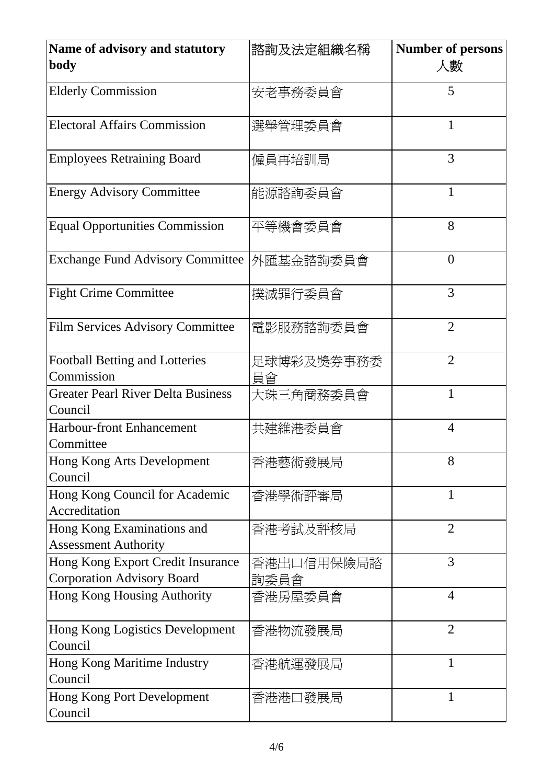| <b>Name of advisory and statutory</b><br>body                          | 諮詢及法定組織名稱          | <b>Number of persons</b><br>人數 |
|------------------------------------------------------------------------|--------------------|--------------------------------|
| <b>Elderly Commission</b>                                              | 安老事務委員會            | 5                              |
| <b>Electoral Affairs Commission</b>                                    | 選舉管理委員會            | 1                              |
| <b>Employees Retraining Board</b>                                      | 僱員再培訓局             | 3                              |
| <b>Energy Advisory Committee</b>                                       | 能源諮詢委員會            | $\mathbf{1}$                   |
| <b>Equal Opportunities Commission</b>                                  | 平等機會委員會            | 8                              |
| <b>Exchange Fund Advisory Committee</b>                                | 外匯基金諮詢委員會          | $\overline{0}$                 |
| <b>Fight Crime Committee</b>                                           | 撲滅罪行委員會            | 3                              |
| <b>Film Services Advisory Committee</b>                                | 電影服務諮詢委員會          | $\overline{2}$                 |
| <b>Football Betting and Lotteries</b><br>Commission                    | 足球博彩及獎券事務委<br>員會   | $\overline{2}$                 |
| <b>Greater Pearl River Delta Business</b><br>Council                   | 大珠三角商務委員會          | 1                              |
| <b>Harbour-front Enhancement</b><br>Committee                          | 共建維港委員會            | $\overline{4}$                 |
| Hong Kong Arts Development<br>Council                                  | 香港藝術發展局            | 8                              |
| Hong Kong Council for Academic<br>Accreditation                        | 香港學術評審局            | 1                              |
| Hong Kong Examinations and<br><b>Assessment Authority</b>              | 香港考試及評核局           | $\overline{2}$                 |
| Hong Kong Export Credit Insurance<br><b>Corporation Advisory Board</b> | 香港出口信用保險局諮<br>詢委員會 | 3                              |
| Hong Kong Housing Authority                                            | 香港房屋委員會            | $\overline{4}$                 |
| Hong Kong Logistics Development<br>Council                             | 香港物流發展局            | $\overline{2}$                 |
| Hong Kong Maritime Industry<br>Council                                 | 香港航運發展局            | $\mathbf{1}$                   |
| <b>Hong Kong Port Development</b><br>Council                           | 香港港口發展局            | $\mathbf{1}$                   |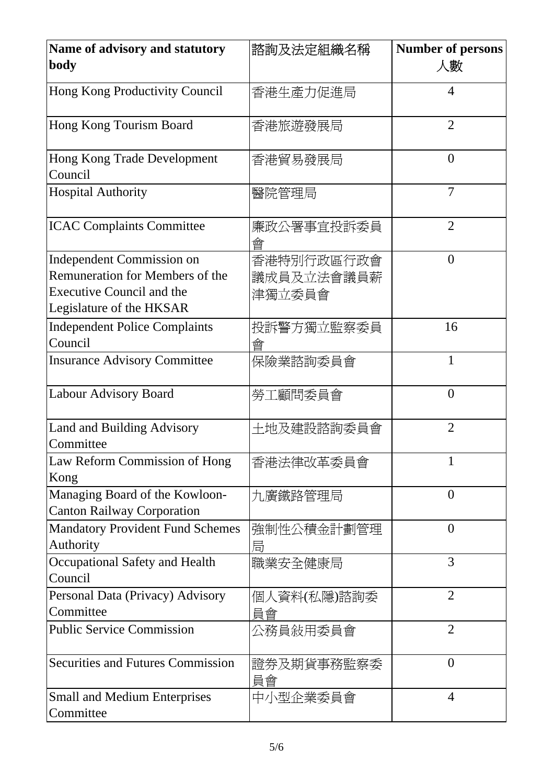| Name of advisory and statutory<br>body                                                                                                     | 諮詢及法定組織名稱                          | <b>Number of persons</b><br>人數 |
|--------------------------------------------------------------------------------------------------------------------------------------------|------------------------------------|--------------------------------|
| Hong Kong Productivity Council                                                                                                             | 香港生產力促進局                           | 4                              |
| Hong Kong Tourism Board                                                                                                                    | 香港旅遊發展局                            | $\overline{2}$                 |
| Hong Kong Trade Development<br>Council                                                                                                     | 香港貿易發展局                            | $\overline{0}$                 |
| <b>Hospital Authority</b>                                                                                                                  | 醫院管理局                              | $\overline{7}$                 |
| <b>ICAC Complaints Committee</b>                                                                                                           | 廉政公署事宜投訴委員<br>會                    | $\overline{2}$                 |
| <b>Independent Commission on</b><br><b>Remuneration for Members of the</b><br><b>Executive Council and the</b><br>Legislature of the HKSAR | 香港特別行政區行政會<br>議成員及立法會議員薪<br>津獨立委員會 | $\overline{0}$                 |
| <b>Independent Police Complaints</b><br>Council                                                                                            | 投訴警方獨立監察委員<br>曾                    | 16                             |
| <b>Insurance Advisory Committee</b>                                                                                                        | 保險業諮詢委員會                           | 1                              |
| Labour Advisory Board                                                                                                                      | 勞工顧問委員會                            | $\overline{0}$                 |
| Land and Building Advisory<br>Committee                                                                                                    | 土地及建設諮詢委員會                         | $\overline{2}$                 |
| Law Reform Commission of Hong<br>Kong                                                                                                      | 香港法律改革委員會                          | 1                              |
| Managing Board of the Kowloon-<br><b>Canton Railway Corporation</b>                                                                        | 九廣鐵路管理局                            | $\overline{0}$                 |
| <b>Mandatory Provident Fund Schemes</b><br>Authority                                                                                       | 強制性公積金計劃管理<br>局                    | $\overline{0}$                 |
| Occupational Safety and Health<br>Council                                                                                                  | 職業安全健康局                            | 3                              |
| Personal Data (Privacy) Advisory<br>Committee                                                                                              | 個人資料(私隱)諮詢委<br>員會                  | $\overline{2}$                 |
| <b>Public Service Commission</b>                                                                                                           | 公務員敍用委員會                           | $\overline{2}$                 |
| <b>Securities and Futures Commission</b>                                                                                                   | 證券及期貨事務監察委<br>員會                   | $\overline{0}$                 |
| <b>Small and Medium Enterprises</b><br>Committee                                                                                           | 中小型企業委員會                           | $\overline{4}$                 |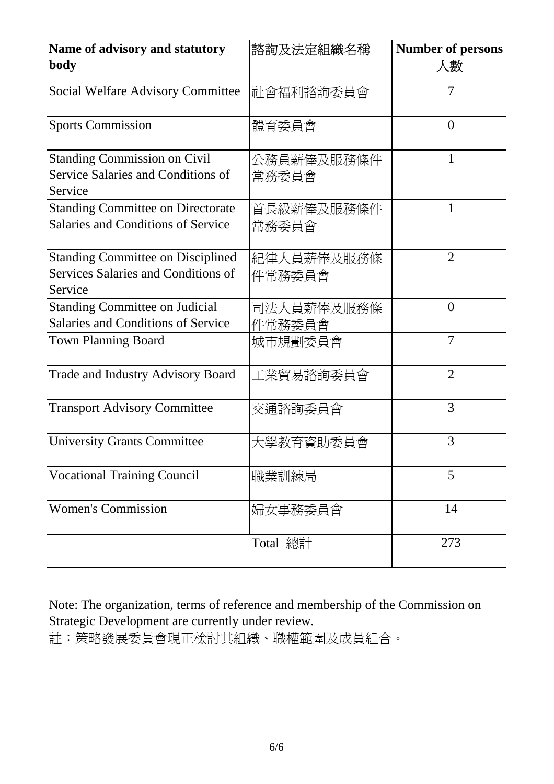| Name of advisory and statutory<br>body                                                     | 諮詢及法定組織名稱            | <b>Number of persons</b><br>人數 |
|--------------------------------------------------------------------------------------------|----------------------|--------------------------------|
| Social Welfare Advisory Committee                                                          | 社會福利諮詢委員會            | 7                              |
| <b>Sports Commission</b>                                                                   | 體育委員會                | $\overline{0}$                 |
| <b>Standing Commission on Civil</b><br>Service Salaries and Conditions of<br>Service       | 公務員薪俸及服務條件<br>常務委員會  | 1                              |
| <b>Standing Committee on Directorate</b><br><b>Salaries and Conditions of Service</b>      | 首長級薪俸及服務條件<br>常務委員會  | 1                              |
| <b>Standing Committee on Disciplined</b><br>Services Salaries and Conditions of<br>Service | 紀律人員薪俸及服務條<br>件常務委員會 | $\overline{2}$                 |
| <b>Standing Committee on Judicial</b><br><b>Salaries and Conditions of Service</b>         | 司法人員薪俸及服務條<br>件常務委員會 | $\overline{0}$                 |
| <b>Town Planning Board</b>                                                                 | 城市規劃委員會              | $\overline{7}$                 |
| Trade and Industry Advisory Board                                                          | 工業貿易諮詢委員會            | $\overline{2}$                 |
| <b>Transport Advisory Committee</b>                                                        | 交通諮詢委員會              | 3                              |
| <b>University Grants Committee</b>                                                         | 大學教育資助委員會            | 3                              |
| <b>Vocational Training Council</b>                                                         | 職業訓練局                | 5                              |
| <b>Women's Commission</b>                                                                  | 婦女事務委員會              | 14                             |
|                                                                                            | Total 總計             | 273                            |

Note: The organization, terms of reference and membership of the Commission on Strategic Development are currently under review.

註:策略發展委員會現正檢討其組織、職權範圍及成員組合。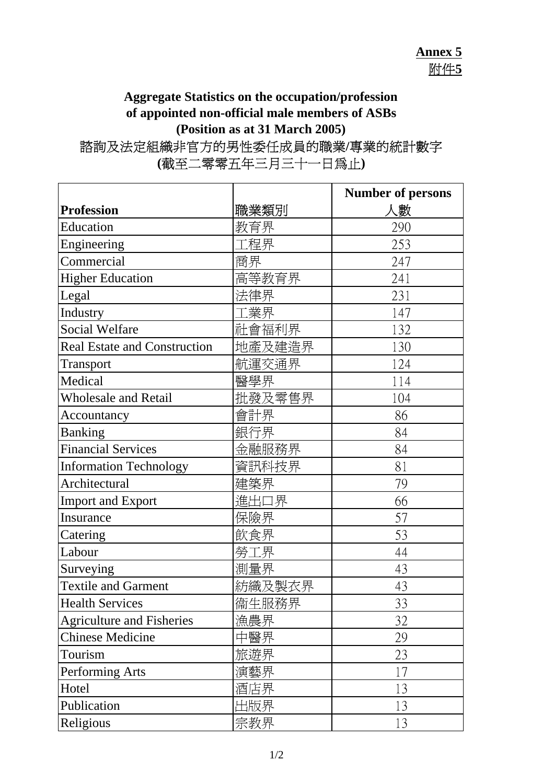## **Annex 5** 附件**5**

#### **Aggregate Statistics on the occupation/profession of appointed non-official male members of ASBs (Position as at 31 March 2005)** 諮詢及法定組織非官方的男性委任成員的職業**/**專業的統計數字

|                                     |        | <b>Number of persons</b> |
|-------------------------------------|--------|--------------------------|
| <b>Profession</b>                   | 職業類別   | 人數                       |
| Education                           | 教育界    | 290                      |
| Engineering                         | :程界    | 253                      |
| Commercial                          | 商界     | 247                      |
| <b>Higher Education</b>             | 高等教育界  | 241                      |
| Legal                               | 法律界    | 231                      |
| Industry                            | 工業界    | 147                      |
| <b>Social Welfare</b>               | 社會福利界  | 132                      |
| <b>Real Estate and Construction</b> | 地產及建造界 | 130                      |
| Transport                           | 航運交通界  | 124                      |
| Medical                             | 醫學界    | 114                      |
| <b>Wholesale and Retail</b>         | 批發及零售界 | 104                      |
| Accountancy                         | 會計界    | 86                       |
| <b>Banking</b>                      | 銀行界    | 84                       |
| <b>Financial Services</b>           | 金融服務界  | 84                       |
| <b>Information Technology</b>       | 資訊科技界  | 81                       |
| Architectural                       | 建築界    | 79                       |
| <b>Import and Export</b>            | 進出口界   | 66                       |
| Insurance                           | 保險界    | 57                       |
| Catering                            | 飲食界    | 53                       |
| Labour                              | 勞工界    | 44                       |
| Surveying                           | 測量界    | 43                       |
| <b>Textile and Garment</b>          | 紡織及製衣界 | 43                       |
| <b>Health Services</b>              | 衞生服務界  | 33                       |
| <b>Agriculture and Fisheries</b>    | 漁農界    | 32                       |
| <b>Chinese Medicine</b>             | 中醫界    | 29                       |
| Tourism                             | 旅遊界    | 23                       |
| Performing Arts                     | 演藝界    | 17                       |
| Hotel                               | 酒店界    | 13                       |
| Publication                         | 出版界    | 13                       |
| Religious                           | 宗教界    | 13                       |

# **(**截至二零零五年三月三十一日為止**)**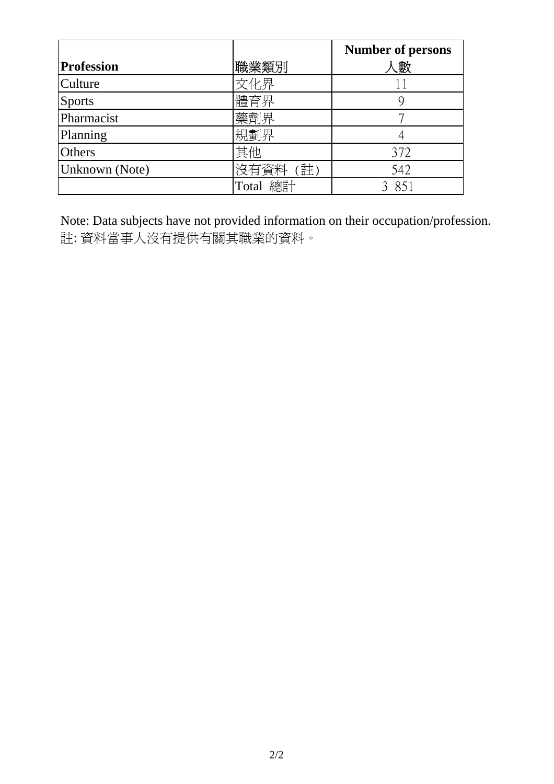|                   |           | <b>Number of persons</b> |
|-------------------|-----------|--------------------------|
| <b>Profession</b> | 職業類別      | 、數                       |
| Culture           | 文化界       |                          |
| <b>Sports</b>     | 體育界       |                          |
| Pharmacist        | 藥劑界       |                          |
| Planning          | 規劃界       |                          |
| <b>Others</b>     | 其他        | 372                      |
| Unknown (Note)    | 沒有資料<br>註 | 542                      |
|                   | Total 總計  | 851                      |

Note: Data subjects have not provided information on their occupation/profession. 註: 資料當事人沒有提供有關其職業的資料。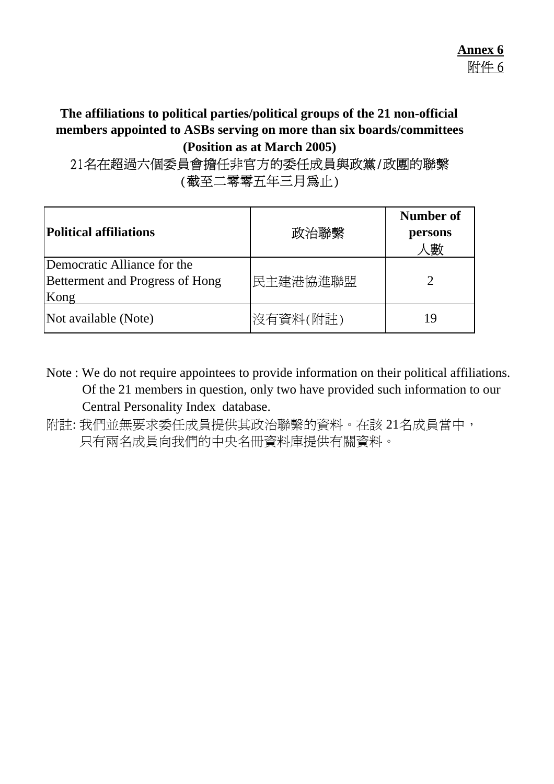#### **The affiliations to political parties/political groups of the 21 non-official members appointed to ASBs serving on more than six boards/committees (Position as at March 2005)**

## 21名在超過六個委員會擔任非官方的委任成員與政黨/政團的聯繫 (截至二零零五年三月為止)

| Political affiliations                                                 | 政治聯繫     | Number of<br>persons<br>、數 |
|------------------------------------------------------------------------|----------|----------------------------|
| Democratic Alliance for the<br>Betterment and Progress of Hong<br>Kong | 民主建港協進聯盟 |                            |
| Not available (Note)                                                   | 沒有資料(附註) | 19                         |

Note : We do not require appointees to provide information on their political affiliations. Of the 21 members in question, only two have provided such information to our Central Personality Index database.

附註: 我們並無要求委任成員提供其政治聯繫的資料。在該 21名成員當中, 只有兩名成員向我們的中央名冊資料庫提供有關資料。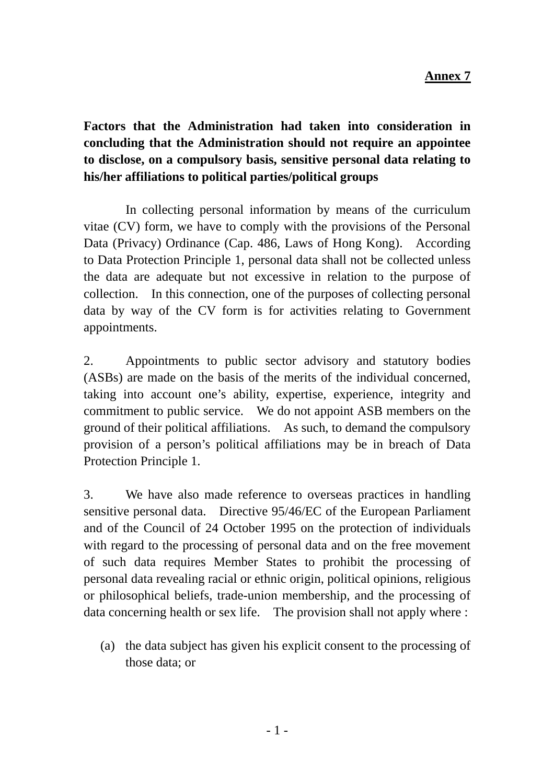**Factors that the Administration had taken into consideration in concluding that the Administration should not require an appointee to disclose, on a compulsory basis, sensitive personal data relating to his/her affiliations to political parties/political groups** 

 In collecting personal information by means of the curriculum vitae (CV) form, we have to comply with the provisions of the Personal Data (Privacy) Ordinance (Cap. 486, Laws of Hong Kong). According to Data Protection Principle 1, personal data shall not be collected unless the data are adequate but not excessive in relation to the purpose of collection. In this connection, one of the purposes of collecting personal data by way of the CV form is for activities relating to Government appointments.

2. Appointments to public sector advisory and statutory bodies (ASBs) are made on the basis of the merits of the individual concerned, taking into account one's ability, expertise, experience, integrity and commitment to public service. We do not appoint ASB members on the ground of their political affiliations. As such, to demand the compulsory provision of a person's political affiliations may be in breach of Data Protection Principle 1.

3. We have also made reference to overseas practices in handling sensitive personal data. Directive 95/46/EC of the European Parliament and of the Council of 24 October 1995 on the protection of individuals with regard to the processing of personal data and on the free movement of such data requires Member States to prohibit the processing of personal data revealing racial or ethnic origin, political opinions, religious or philosophical beliefs, trade-union membership, and the processing of data concerning health or sex life. The provision shall not apply where :

(a) the data subject has given his explicit consent to the processing of those data; or